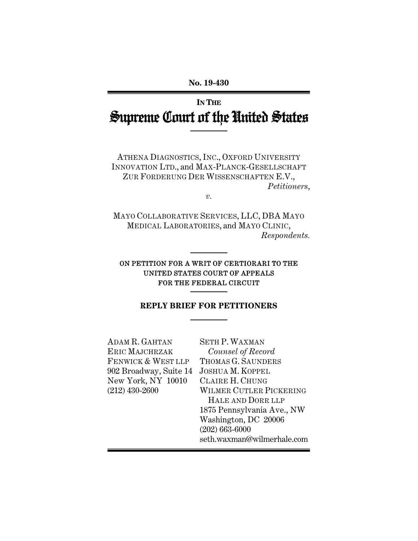# **IN THE** Supreme Court of the United States

ATHENA DIAGNOSTICS, INC., OXFORD UNIVERSITY INNOVATION LTD., and MAX-PLANCK-GESELLSCHAFT ZUR FORDERUNG DER WISSENSCHAFTEN E.V., *Petitioners*,

*v.* 

MAYO COLLABORATIVE SERVICES, LLC, DBA MAYO MEDICAL LABORATORIES, and MAYO CLINIC, *Respondents.* 

## ON PETITION FOR A WRIT OF CERTIORARI TO THE UNITED STATES COURT OF APPEALS FOR THE FEDERAL CIRCUIT

## **REPLY BRIEF FOR PETITIONERS**

| <b>SETH P. WAXMAN</b>          |
|--------------------------------|
| Counsel of Record              |
| THOMAS G. SAUNDERS             |
| <b>JOSHUA M. KOPPEL</b>        |
| CLAIRE H. CHUNG                |
| <b>WILMER CUTLER PICKERING</b> |
| HALE AND DORR LLP              |
| 1875 Pennsylvania Ave., NW     |
| Washington, DC 20006           |
| $(202) 663 - 6000$             |
| seth.waxman@wilmerhale.com     |
|                                |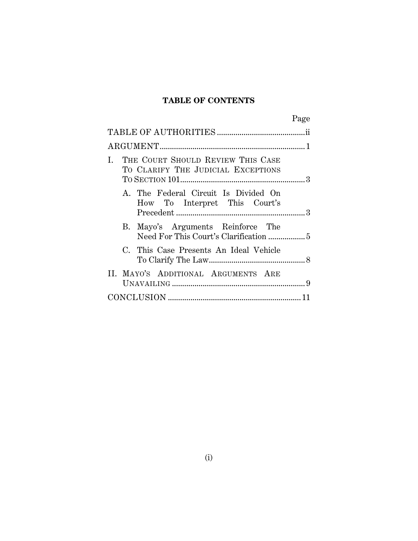# **TABLE OF CONTENTS**

|                                                                               | Page |
|-------------------------------------------------------------------------------|------|
|                                                                               |      |
|                                                                               |      |
| THE COURT SHOULD REVIEW THIS CASE<br>L.<br>TO CLARIFY THE JUDICIAL EXCEPTIONS |      |
| A. The Federal Circuit Is Divided On<br>How To Interpret This Court's         |      |
| B. Mayo's Arguments Reinforce The                                             |      |
| C. This Case Presents An Ideal Vehicle                                        |      |
| II. MAYO'S ADDITIONAL ARGUMENTS ARE                                           |      |
|                                                                               |      |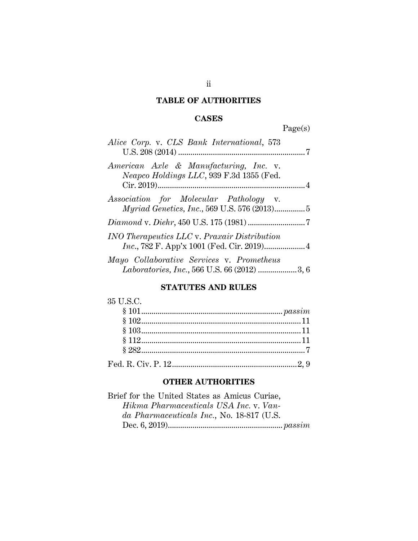## **TABLE OF AUTHORITIES**

# **CASES**

Page(s)

| Alice Corp. v. CLS Bank International, 573                                               |  |
|------------------------------------------------------------------------------------------|--|
| American Axle & Manufacturing, Inc. v.<br>Neapco Holdings LLC, 939 F.3d 1355 (Fed.       |  |
| Association for Molecular Pathology v.                                                   |  |
|                                                                                          |  |
| <b>INO Therapeutics LLC v. Praxair Distribution</b>                                      |  |
| Mayo Collaborative Services v. Prometheus<br>Laboratories, Inc., 566 U.S. 66 (2012) 3, 6 |  |

## **STATUTES AND RULES**

## **OTHER AUTHORITIES**

| Brief for the United States as Amicus Curiae, |  |
|-----------------------------------------------|--|
| Hikma Pharmaceuticals USA Inc. v. Van-        |  |
| da Pharmaceuticals Inc., No. 18-817 (U.S.     |  |
|                                               |  |
|                                               |  |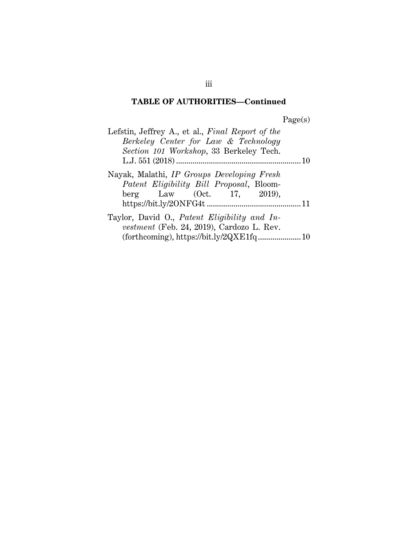# **TABLE OF AUTHORITIES—Continued**

Page(s)

| Lefstin, Jeffrey A., et al., Final Report of the |  |
|--------------------------------------------------|--|
| Berkeley Center for Law & Technology             |  |
| Section 101 Workshop, 33 Berkeley Tech.          |  |
|                                                  |  |
| Nayak, Malathi, IP Groups Developing Fresh       |  |
| Patent Eligibility Bill Proposal, Bloom-         |  |
| berg Law (Oct. 17, 2019),                        |  |
|                                                  |  |
| Taylor, David O., Patent Eligibility and In-     |  |
| vestment (Feb. 24, 2019), Cardozo L. Rev.        |  |
|                                                  |  |

iii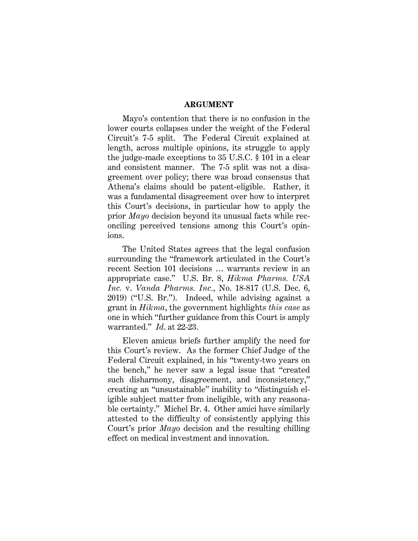#### **ARGUMENT**

Mayo's contention that there is no confusion in the lower courts collapses under the weight of the Federal Circuit's 7-5 split. The Federal Circuit explained at length, across multiple opinions, its struggle to apply the judge-made exceptions to 35 U.S.C. § 101 in a clear and consistent manner. The 7-5 split was not a disagreement over policy; there was broad consensus that Athena's claims should be patent-eligible. Rather, it was a fundamental disagreement over how to interpret this Court's decisions, in particular how to apply the prior *Mayo* decision beyond its unusual facts while reconciling perceived tensions among this Court's opinions.

The United States agrees that the legal confusion surrounding the "framework articulated in the Court's recent Section 101 decisions … warrants review in an appropriate case." U.S. Br. 8, *Hikma Pharms. USA Inc.* v. *Vanda Pharms. Inc.*, No. 18-817 (U.S. Dec. 6, 2019) ("U.S. Br."). Indeed, while advising against a grant in *Hikma*, the government highlights *this case* as one in which "further guidance from this Court is amply warranted." *Id*. at 22-23.

Eleven amicus briefs further amplify the need for this Court's review. As the former Chief Judge of the Federal Circuit explained, in his "twenty-two years on the bench," he never saw a legal issue that "created such disharmony, disagreement, and inconsistency," creating an "unsustainable" inability to "distinguish eligible subject matter from ineligible, with any reasonable certainty." Michel Br. 4. Other amici have similarly attested to the difficulty of consistently applying this Court's prior *Mayo* decision and the resulting chilling effect on medical investment and innovation.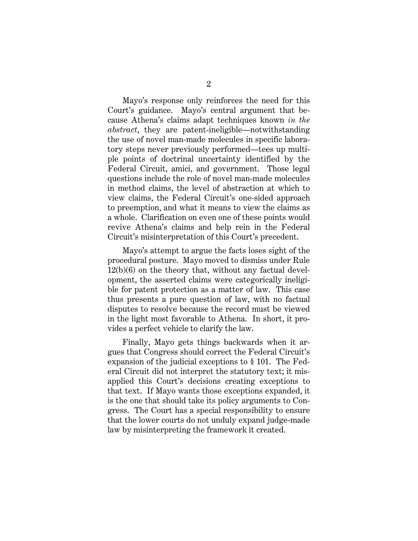Mayo's response only reinforces the need for this Court's guidance. Mayo's central argument that because Athena's claims adapt techniques known *in the abstract*, they are patent-ineligible—notwithstanding the use of novel man-made molecules in specific laboratory steps never previously performed—tees up multiple points of doctrinal uncertainty identified by the Federal Circuit, amici, and government. Those legal questions include the role of novel man-made molecules in method claims, the level of abstraction at which to view claims, the Federal Circuit's one-sided approach to preemption, and what it means to view the claims as a whole. Clarification on even one of these points would revive Athena's claims and help rein in the Federal Circuit's misinterpretation of this Court's precedent.

Mayo's attempt to argue the facts loses sight of the procedural posture. Mayo moved to dismiss under Rule 12(b)(6) on the theory that, without any factual development, the asserted claims were categorically ineligible for patent protection as a matter of law. This case thus presents a pure question of law, with no factual disputes to resolve because the record must be viewed in the light most favorable to Athena. In short, it provides a perfect vehicle to clarify the law.

Finally, Mayo gets things backwards when it argues that Congress should correct the Federal Circuit's expansion of the judicial exceptions to § 101. The Federal Circuit did not interpret the statutory text; it misapplied this Court's decisions creating exceptions to that text. If Mayo wants those exceptions expanded, it is the one that should take its policy arguments to Congress. The Court has a special responsibility to ensure that the lower courts do not unduly expand judge-made law by misinterpreting the framework it created.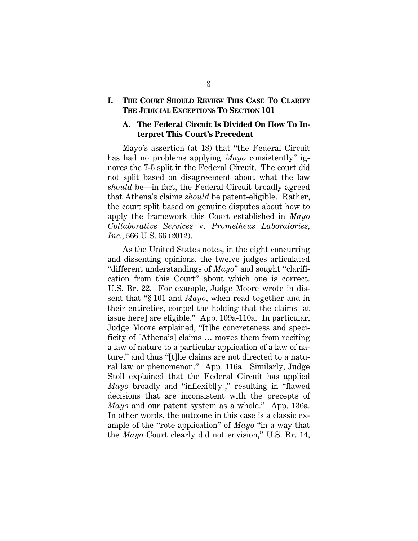## **I. THE COURT SHOULD REVIEW THIS CASE TO CLARIFY THE JUDICIAL EXCEPTIONS TO SECTION 101**

## **A. The Federal Circuit Is Divided On How To Interpret This Court's Precedent**

Mayo's assertion (at 18) that "the Federal Circuit has had no problems applying *Mayo* consistently" ignores the 7-5 split in the Federal Circuit. The court did not split based on disagreement about what the law *should* be—in fact, the Federal Circuit broadly agreed that Athena's claims *should* be patent-eligible. Rather, the court split based on genuine disputes about how to apply the framework this Court established in *Mayo Collaborative Services* v. *Prometheus Laboratories, Inc.*, 566 U.S. 66 (2012).

As the United States notes, in the eight concurring and dissenting opinions, the twelve judges articulated "different understandings of *Mayo*" and sought "clarification from this Court" about which one is correct. U.S. Br. 22. For example, Judge Moore wrote in dissent that "§ 101 and *Mayo*, when read together and in their entireties, compel the holding that the claims [at issue here] are eligible." App. 109a-110a. In particular, Judge Moore explained, "[t]he concreteness and specificity of [Athena's] claims … moves them from reciting a law of nature to a particular application of a law of nature," and thus "[t]he claims are not directed to a natural law or phenomenon." App*.* 116a. Similarly, Judge Stoll explained that the Federal Circuit has applied *Mayo* broadly and "inflexibl[y]," resulting in "flawed decisions that are inconsistent with the precepts of *Mayo* and our patent system as a whole." App. 136a. In other words, the outcome in this case is a classic example of the "rote application" of *Mayo* "in a way that the *Mayo* Court clearly did not envision," U.S. Br. 14,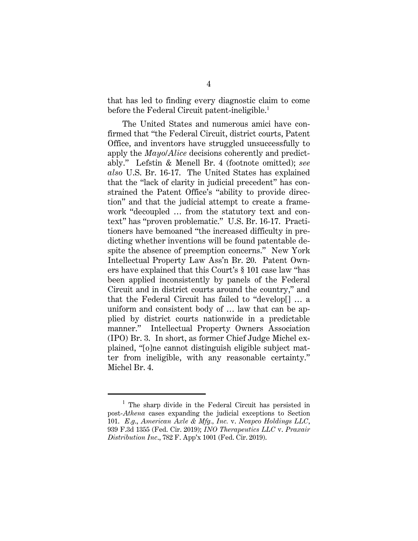that has led to finding every diagnostic claim to come before the Federal Circuit patent-ineligible.<sup>1</sup>

The United States and numerous amici have confirmed that "the Federal Circuit, district courts, Patent Office, and inventors have struggled unsuccessfully to apply the *Mayo*/*Alice* decisions coherently and predictably." Lefstin & Menell Br. 4 (footnote omitted); *see also* U.S. Br. 16-17. The United States has explained that the "lack of clarity in judicial precedent" has constrained the Patent Office's "ability to provide direction" and that the judicial attempt to create a framework "decoupled … from the statutory text and context" has "proven problematic." U.S. Br. 16-17. Practitioners have bemoaned "the increased difficulty in predicting whether inventions will be found patentable despite the absence of preemption concerns." New York Intellectual Property Law Ass'n Br. 20. Patent Owners have explained that this Court's § 101 case law "has been applied inconsistently by panels of the Federal Circuit and in district courts around the country," and that the Federal Circuit has failed to "develop[] … a uniform and consistent body of … law that can be applied by district courts nationwide in a predictable manner." Intellectual Property Owners Association (IPO) Br. 3. In short, as former Chief Judge Michel explained, "[o]ne cannot distinguish eligible subject matter from ineligible, with any reasonable certainty." Michel Br. 4.

<sup>&</sup>lt;sup>1</sup> The sharp divide in the Federal Circuit has persisted in post-*Athena* cases expanding the judicial exceptions to Section 101. *E.g*., *American Axle & Mfg., Inc.* v. *Neapco Holdings LLC*, 939 F.3d 1355 (Fed. Cir. 2019); *INO Therapeutics LLC* v. *Praxair Distribution Inc*., 782 F. App'x 1001 (Fed. Cir. 2019).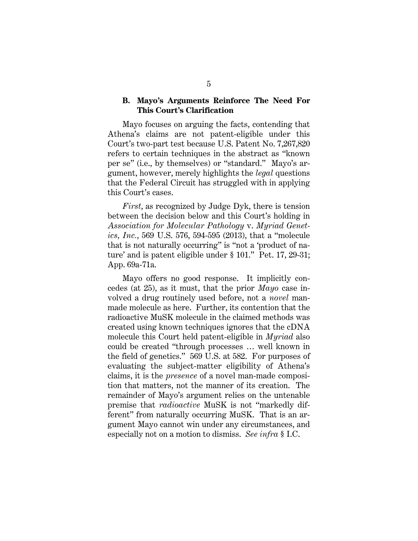### **B. Mayo's Arguments Reinforce The Need For This Court's Clarification**

Mayo focuses on arguing the facts, contending that Athena's claims are not patent-eligible under this Court's two-part test because U.S. Patent No. 7,267,820 refers to certain techniques in the abstract as "known per se" (i.e., by themselves) or "standard." Mayo's argument, however, merely highlights the *legal* questions that the Federal Circuit has struggled with in applying this Court's cases.

*First*, as recognized by Judge Dyk, there is tension between the decision below and this Court's holding in *Association for Molecular Pathology* v. *Myriad Genetics, Inc.*, 569 U.S. 576, 594-595 (2013), that a "molecule that is not naturally occurring" is "not a 'product of nature' and is patent eligible under § 101." Pet. 17, 29-31; App. 69a-71a.

Mayo offers no good response. It implicitly concedes (at 25), as it must, that the prior *Mayo* case involved a drug routinely used before, not a *novel* manmade molecule as here. Further, its contention that the radioactive MuSK molecule in the claimed methods was created using known techniques ignores that the cDNA molecule this Court held patent-eligible in *Myriad* also could be created "through processes … well known in the field of genetics." 569 U.S. at 582. For purposes of evaluating the subject-matter eligibility of Athena's claims, it is the *presence* of a novel man-made composition that matters, not the manner of its creation. The remainder of Mayo's argument relies on the untenable premise that *radioactive* MuSK is not "markedly different" from naturally occurring MuSK. That is an argument Mayo cannot win under any circumstances, and especially not on a motion to dismiss. *See infra* § I.C.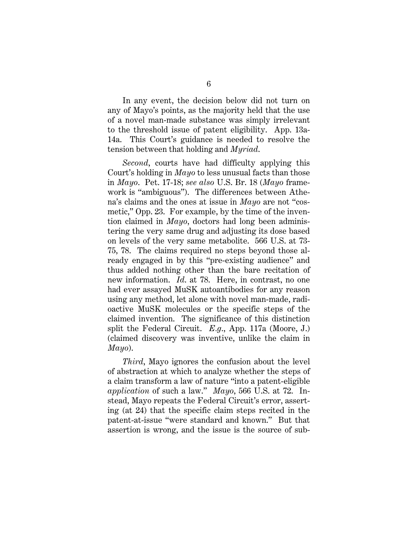In any event, the decision below did not turn on any of Mayo's points, as the majority held that the use of a novel man-made substance was simply irrelevant to the threshold issue of patent eligibility. App. 13a-14a. This Court's guidance is needed to resolve the tension between that holding and *Myriad*.

*Second*, courts have had difficulty applying this Court's holding in *Mayo* to less unusual facts than those in *Mayo*. Pet. 17-18; *see also* U.S. Br. 18 (*Mayo* framework is "ambiguous"). The differences between Athena's claims and the ones at issue in *Mayo* are not "cosmetic," Opp. 23. For example, by the time of the invention claimed in *Mayo*, doctors had long been administering the very same drug and adjusting its dose based on levels of the very same metabolite. 566 U.S. at 73- 75, 78. The claims required no steps beyond those already engaged in by this "pre-existing audience" and thus added nothing other than the bare recitation of new information. *Id*. at 78. Here, in contrast, no one had ever assayed MuSK autoantibodies for any reason using any method, let alone with novel man-made, radioactive MuSK molecules or the specific steps of the claimed invention. The significance of this distinction split the Federal Circuit. *E.g*., App. 117a (Moore, J.) (claimed discovery was inventive, unlike the claim in *Mayo*).

*Third*, Mayo ignores the confusion about the level of abstraction at which to analyze whether the steps of a claim transform a law of nature "into a patent-eligible *application* of such a law." *Mayo*, 566 U.S. at 72. Instead, Mayo repeats the Federal Circuit's error, asserting (at 24) that the specific claim steps recited in the patent-at-issue "were standard and known." But that assertion is wrong, and the issue is the source of sub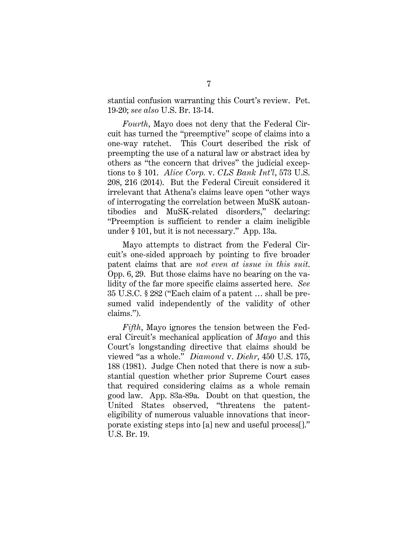stantial confusion warranting this Court's review. Pet. 19-20; *see also* U.S. Br. 13-14.

*Fourth*, Mayo does not deny that the Federal Circuit has turned the "preemptive" scope of claims into a one-way ratchet. This Court described the risk of preempting the use of a natural law or abstract idea by others as "the concern that drives" the judicial exceptions to § 101. *Alice Corp.* v. *CLS Bank Int'l*, 573 U.S. 208, 216 (2014). But the Federal Circuit considered it irrelevant that Athena's claims leave open "other ways of interrogating the correlation between MuSK autoantibodies and MuSK-related disorders," declaring: "Preemption is sufficient to render a claim ineligible under § 101, but it is not necessary." App. 13a.

Mayo attempts to distract from the Federal Circuit's one-sided approach by pointing to five broader patent claims that are *not even at issue in this suit*. Opp. 6, 29. But those claims have no bearing on the validity of the far more specific claims asserted here. *See* 35 U.S.C. § 282 ("Each claim of a patent … shall be presumed valid independently of the validity of other claims.").

*Fifth*, Mayo ignores the tension between the Federal Circuit's mechanical application of *Mayo* and this Court's longstanding directive that claims should be viewed "as a whole." *Diamond* v. *Diehr*, 450 U.S. 175, 188 (1981). Judge Chen noted that there is now a substantial question whether prior Supreme Court cases that required considering claims as a whole remain good law. App. 83a-89a. Doubt on that question, the United States observed, "threatens the patenteligibility of numerous valuable innovations that incorporate existing steps into [a] new and useful process[]." U.S. Br. 19.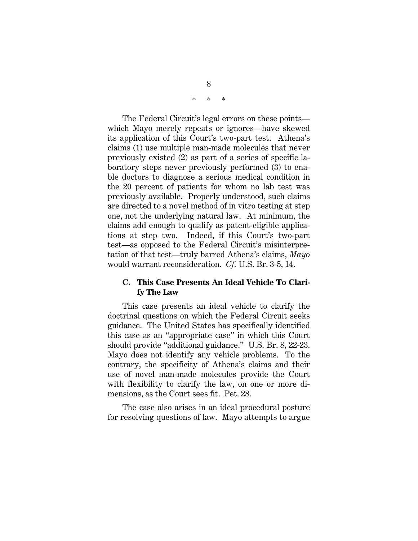\* \* \*

The Federal Circuit's legal errors on these points which Mayo merely repeats or ignores—have skewed its application of this Court's two-part test. Athena's claims (1) use multiple man-made molecules that never previously existed (2) as part of a series of specific laboratory steps never previously performed (3) to enable doctors to diagnose a serious medical condition in the 20 percent of patients for whom no lab test was previously available. Properly understood, such claims are directed to a novel method of in vitro testing at step one, not the underlying natural law. At minimum, the claims add enough to qualify as patent-eligible applications at step two. Indeed, if this Court's two-part test—as opposed to the Federal Circuit's misinterpretation of that test—truly barred Athena's claims, *Mayo* would warrant reconsideration. *Cf.* U.S. Br. 3-5, 14.

## **C. This Case Presents An Ideal Vehicle To Clarify The Law**

This case presents an ideal vehicle to clarify the doctrinal questions on which the Federal Circuit seeks guidance. The United States has specifically identified this case as an "appropriate case" in which this Court should provide "additional guidance." U.S. Br. 8, 22-23. Mayo does not identify any vehicle problems. To the contrary, the specificity of Athena's claims and their use of novel man-made molecules provide the Court with flexibility to clarify the law, on one or more dimensions, as the Court sees fit. Pet. 28.

The case also arises in an ideal procedural posture for resolving questions of law. Mayo attempts to argue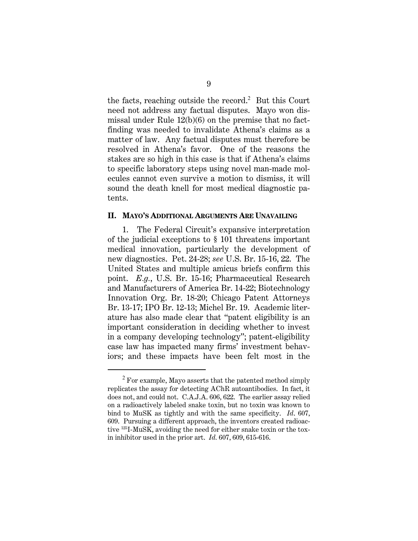the facts, reaching outside the record.<sup>2</sup> But this Court need not address any factual disputes. Mayo won dismissal under Rule 12(b)(6) on the premise that no factfinding was needed to invalidate Athena's claims as a matter of law. Any factual disputes must therefore be resolved in Athena's favor. One of the reasons the stakes are so high in this case is that if Athena's claims to specific laboratory steps using novel man-made molecules cannot even survive a motion to dismiss, it will sound the death knell for most medical diagnostic patents.

#### **II. MAYO'S ADDITIONAL ARGUMENTS ARE UNAVAILING**

1. The Federal Circuit's expansive interpretation of the judicial exceptions to § 101 threatens important medical innovation, particularly the development of new diagnostics. Pet. 24-28; *see* U.S. Br. 15-16, 22. The United States and multiple amicus briefs confirm this point. *E.g.*, U.S. Br. 15-16; Pharmaceutical Research and Manufacturers of America Br. 14-22; Biotechnology Innovation Org. Br. 18-20; Chicago Patent Attorneys Br. 13-17; IPO Br. 12-13; Michel Br. 19. Academic literature has also made clear that "patent eligibility is an important consideration in deciding whether to invest in a company developing technology"; patent-eligibility case law has impacted many firms' investment behaviors; and these impacts have been felt most in the

 $2$  For example, Mayo asserts that the patented method simply replicates the assay for detecting AChR autoantibodies. In fact, it does not, and could not. C.A.J.A. 606, 622. The earlier assay relied on a radioactively labeled snake toxin, but no toxin was known to bind to MuSK as tightly and with the same specificity. *Id*. 607, 609. Pursuing a different approach, the inventors created radioactive 125I-MuSK, avoiding the need for either snake toxin or the toxin inhibitor used in the prior art. *Id.* 607, 609, 615-616.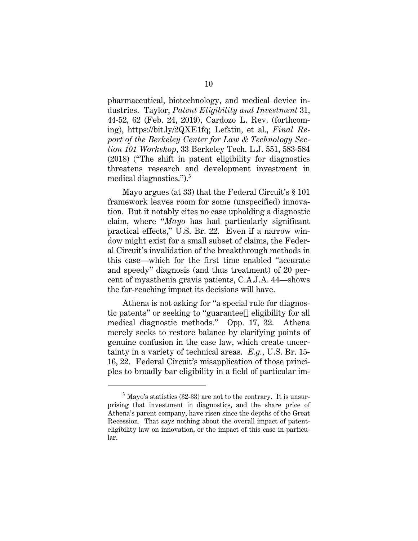pharmaceutical, biotechnology, and medical device industries. Taylor, *Patent Eligibility and Investment* 31, 44-52, 62 (Feb. 24, 2019), Cardozo L. Rev. (forthcoming), https://bit.ly/2QXE1fq; Lefstin, et al., *Final Report of the Berkeley Center for Law & Technology Section 101 Workshop*, 33 Berkeley Tech. L.J. 551, 583-584 (2018) ("The shift in patent eligibility for diagnostics threatens research and development investment in medical diagnostics.").<sup>3</sup>

Mayo argues (at 33) that the Federal Circuit's § 101 framework leaves room for some (unspecified) innovation. But it notably cites no case upholding a diagnostic claim, where "*Mayo* has had particularly significant practical effects," U.S. Br. 22. Even if a narrow window might exist for a small subset of claims, the Federal Circuit's invalidation of the breakthrough methods in this case—which for the first time enabled "accurate and speedy" diagnosis (and thus treatment) of 20 percent of myasthenia gravis patients, C.A.J.A. 44—shows the far-reaching impact its decisions will have.

Athena is not asking for "a special rule for diagnostic patents" or seeking to "guarantee[] eligibility for all medical diagnostic methods." Opp. 17, 32. Athena merely seeks to restore balance by clarifying points of genuine confusion in the case law, which create uncertainty in a variety of technical areas. *E.g.*, U.S. Br. 15- 16, 22. Federal Circuit's misapplication of those principles to broadly bar eligibility in a field of particular im-

 $3$  Mayo's statistics (32-33) are not to the contrary. It is unsurprising that investment in diagnostics, and the share price of Athena's parent company, have risen since the depths of the Great Recession. That says nothing about the overall impact of patenteligibility law on innovation, or the impact of this case in particular.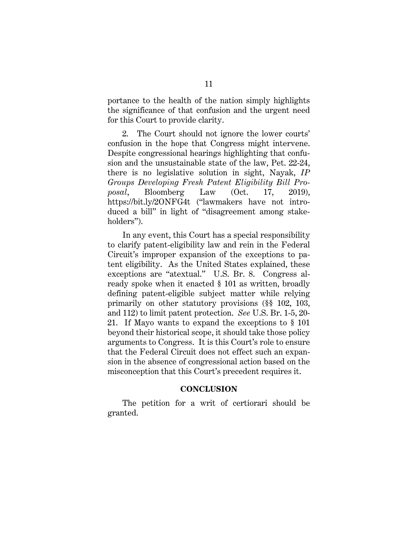portance to the health of the nation simply highlights the significance of that confusion and the urgent need for this Court to provide clarity.

2. The Court should not ignore the lower courts' confusion in the hope that Congress might intervene. Despite congressional hearings highlighting that confusion and the unsustainable state of the law, Pet. 22-24, there is no legislative solution in sight, Nayak, *IP Groups Developing Fresh Patent Eligibility Bill Proposal*, Bloomberg Law (Oct. 17, 2019), https://bit.ly/2ONFG4t ("lawmakers have not introduced a bill" in light of "disagreement among stakeholders").

In any event, this Court has a special responsibility to clarify patent-eligibility law and rein in the Federal Circuit's improper expansion of the exceptions to patent eligibility. As the United States explained, these exceptions are "atextual." U.S. Br. 8. Congress already spoke when it enacted § 101 as written, broadly defining patent-eligible subject matter while relying primarily on other statutory provisions (§§ 102, 103, and 112) to limit patent protection. *See* U.S. Br. 1-5, 20- 21. If Mayo wants to expand the exceptions to § 101 beyond their historical scope, it should take those policy arguments to Congress. It is this Court's role to ensure that the Federal Circuit does not effect such an expansion in the absence of congressional action based on the misconception that this Court's precedent requires it.

#### **CONCLUSION**

The petition for a writ of certiorari should be granted.